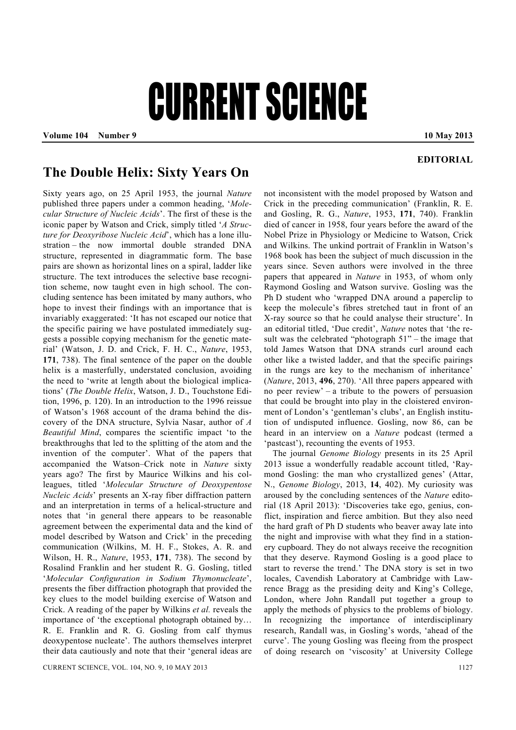## CURRENT SCIENCE

Volume 104 Number 9 **10 May 2013** 

## **EDITORIAL**

## **The Double Helix: Sixty Years On**

Sixty years ago, on 25 April 1953, the journal *Nature* published three papers under a common heading, '*Molecular Structure of Nucleic Acids*'. The first of these is the iconic paper by Watson and Crick, simply titled '*A Structure for Deoxyribose Nucleic Acid*', which has a lone illustration – the now immortal double stranded DNA structure, represented in diagrammatic form. The base pairs are shown as horizontal lines on a spiral, ladder like structure. The text introduces the selective base recognition scheme, now taught even in high school. The concluding sentence has been imitated by many authors, who hope to invest their findings with an importance that is invariably exaggerated: 'It has not escaped our notice that the specific pairing we have postulated immediately suggests a possible copying mechanism for the genetic material' (Watson, J. D. and Crick, F. H. C., *Nature*, 1953, **171**, 738). The final sentence of the paper on the double helix is a masterfully, understated conclusion, avoiding the need to 'write at length about the biological implications' (*The Double Helix*, Watson, J. D., Touchstone Edition, 1996, p. 120). In an introduction to the 1996 reissue of Watson's 1968 account of the drama behind the discovery of the DNA structure, Sylvia Nasar, author of *A Beautiful Mind*, compares the scientific impact 'to the breakthroughs that led to the splitting of the atom and the invention of the computer'. What of the papers that accompanied the Watson–Crick note in *Nature* sixty years ago? The first by Maurice Wilkins and his colleagues, titled '*Molecular Structure of Deoxypentose Nucleic Acids*' presents an X-ray fiber diffraction pattern and an interpretation in terms of a helical-structure and notes that 'in general there appears to be reasonable agreement between the experimental data and the kind of model described by Watson and Crick' in the preceding communication (Wilkins, M. H. F., Stokes, A. R. and Wilson, H. R., *Nature*, 1953, **171**, 738). The second by Rosalind Franklin and her student R. G. Gosling, titled '*Molecular Configuration in Sodium Thymonucleate*', presents the fiber diffraction photograph that provided the key clues to the model building exercise of Watson and Crick. A reading of the paper by Wilkins *et al.* reveals the importance of 'the exceptional photograph obtained by… R. E. Franklin and R. G. Gosling from calf thymus deoxypentose nucleate'. The authors themselves interpret their data cautiously and note that their 'general ideas are

not inconsistent with the model proposed by Watson and Crick in the preceding communication' (Franklin, R. E. and Gosling, R. G., *Nature*, 1953, **171**, 740). Franklin died of cancer in 1958, four years before the award of the Nobel Prize in Physiology or Medicine to Watson, Crick and Wilkins. The unkind portrait of Franklin in Watson's 1968 book has been the subject of much discussion in the years since. Seven authors were involved in the three papers that appeared in *Nature* in 1953, of whom only Raymond Gosling and Watson survive. Gosling was the Ph D student who 'wrapped DNA around a paperclip to keep the molecule's fibres stretched taut in front of an X-ray source so that he could analyse their structure'. In an editorial titled, 'Due credit', *Nature* notes that 'the result was the celebrated "photograph 51" – the image that told James Watson that DNA strands curl around each other like a twisted ladder, and that the specific pairings in the rungs are key to the mechanism of inheritance' (*Nature*, 2013, **496**, 270). 'All three papers appeared with no peer review' – a tribute to the powers of persuasion that could be brought into play in the cloistered environment of London's 'gentleman's clubs', an English institution of undisputed influence. Gosling, now 86, can be heard in an interview on a *Nature* podcast (termed a 'pastcast'), recounting the events of 1953.

 The journal *Genome Biology* presents in its 25 April 2013 issue a wonderfully readable account titled, 'Raymond Gosling: the man who crystallized genes' (Attar, N., *Genome Biology*, 2013, **14**, 402). My curiosity was aroused by the concluding sentences of the *Nature* editorial (18 April 2013): 'Discoveries take ego, genius, conflict, inspiration and fierce ambition. But they also need the hard graft of Ph D students who beaver away late into the night and improvise with what they find in a stationery cupboard. They do not always receive the recognition that they deserve. Raymond Gosling is a good place to start to reverse the trend.' The DNA story is set in two locales, Cavendish Laboratory at Cambridge with Lawrence Bragg as the presiding deity and King's College, London, where John Randall put together a group to apply the methods of physics to the problems of biology. In recognizing the importance of interdisciplinary research, Randall was, in Gosling's words, 'ahead of the curve'. The young Gosling was fleeing from the prospect of doing research on 'viscosity' at University College